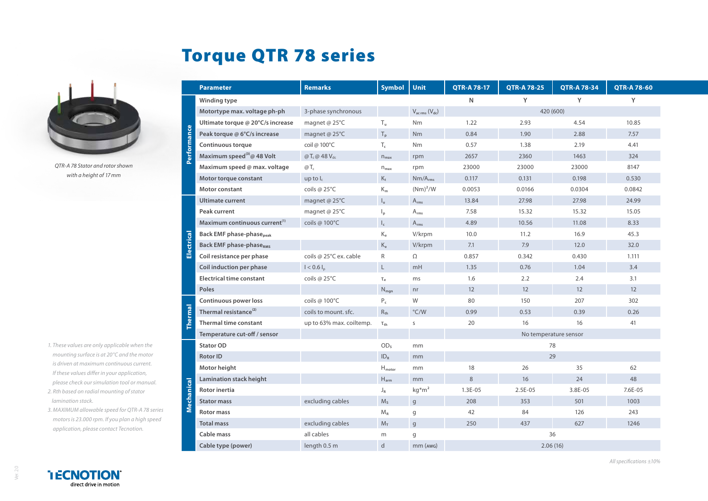## Torque QTR 78 series



*QTR-A 78 Stator and rotor shown with a height of 17mm*

- *1. These values are only applicable when the mounting surface is at 20°C and the motor is driven at maximum continuous current. If these values differ in your application, please check our simulation tool or manual.*
- *2. Rth based on radial mounting of stator lamination stack.*
- *3. MAXIMUM allowable speed for QTR-A 78 series motors is 23.000 rpm. If you plan a high speed application, please contact Tecnotion.*

|                           | <b>Parameter</b>                            | <b>Remarks</b>           | <b>Symbol</b>                 | <b>Unit</b>                 | <b>QTR-A 78-17</b> | <b>QTR-A 78-25</b>    | <b>QTR-A78-34</b> | <b>QTR-A 78-60</b> |
|---------------------------|---------------------------------------------|--------------------------|-------------------------------|-----------------------------|--------------------|-----------------------|-------------------|--------------------|
| erformance                | Winding type                                |                          |                               |                             | N                  | Υ                     | Y                 | Υ                  |
|                           | Motortype max. voltage ph-ph                | 3-phase synchronous      |                               | $V_{ac\,rms} (V_{dc})$      | 420 (600)          |                       |                   |                    |
|                           | Ultimate torque @ 20°C/s increase           | magnet @ 25°C            | $T_{\rm u}$                   | <b>Nm</b>                   | 1.22               | 2.93                  | 4.54              | 10.85              |
|                           | Peak torque @ 6°C/s increase                | magnet @ 25°C            | $T_{\rm p}$                   | Nm                          | 0.84               | 1.90                  | 2.88              | 7.57               |
|                           | Continuous torque                           | coil @ 100°C             | $T_c$                         | <b>Nm</b>                   | 0.57               | 1.38                  | 2.19              | 4.41               |
|                           | Maximum speed <sup>(3)</sup> @ 48 Volt      | @ $T_c$ @48 $V_{dc}$     | $n_{max}$                     | rpm                         | 2657               | 2360                  | 1463              | 324                |
|                           | Maximum speed @ max. voltage                | $@T_c$                   | $n_{\text{max}}$              | rpm                         | 23000              | 23000                 | 23000             | 8147               |
|                           | Motor torque constant                       | up to $I_c$              | $K_t$                         | $Nm/A_{rms}$                | 0.117              | 0.131                 | 0.198             | 0.530              |
|                           | Motor constant                              | coils @ 25°C             | $K_m$                         | $(Nm)^2/W$                  | 0.0053             | 0.0166                | 0.0304            | 0.0842             |
| $\overline{c}$<br>Electri | <b>Ultimate current</b>                     | magnet @ 25°C            | $I_u$                         | $A_{rms}$                   | 13.84              | 27.98                 | 27.98             | 24.99              |
|                           | <b>Peak current</b>                         | magnet @ 25°C            | $\mathsf{I}_{\mathsf{p}}$     | $A_{rms}$                   | 7.58               | 15.32                 | 15.32             | 15.05              |
|                           | Maximum continuous current <sup>(1)</sup>   | coils @ 100°C            | $I_c$                         | $\mathsf{A}_{\mathsf{rms}}$ | 4.89               | 10.56                 | 11.08             | 8.33               |
|                           | <b>Back EMF phase-phase</b> <sub>peak</sub> |                          | $K_e$                         | V/krpm                      | 10.0               | 11.2                  | 16.9              | 45.3               |
|                           | <b>Back EMF phase-phaseRMS</b>              |                          | $K_{\rm e}$                   | V/krpm                      | 7.1                | 7.9                   | 12.0              | 32.0               |
|                           | Coil resistance per phase                   | coils @ 25°C ex. cable   | R                             | Ω                           | 0.857              | 0.342                 | 0.430             | 1.111              |
|                           | Coil induction per phase                    | $I < 0.6 I_{p}$          | L                             | mH                          | 1.35               | 0.76                  | 1.04              | 3.4                |
|                           | <b>Electrical time constant</b>             | coils @ 25°C             | $\tau_e$                      | ms                          | 1.6                | 2.2                   | 2.4               | 3.1                |
|                           | <b>Poles</b>                                |                          | $N_{man}$                     | n <sub>r</sub>              | 12                 | 12                    | 12                | 12                 |
| <b>nermal</b>             | Continuous power loss                       | coils @ 100°C            | $P_c$                         | W                           | 80                 | 150                   | 207               | 302                |
|                           | Thermal resistance <sup>(2)</sup>           | coils to mount, sfc.     | $R_{th}$                      | $\degree$ C/W               | 0.99               | 0.53                  | 0.39              | 0.26               |
|                           | <b>Thermal time constant</b>                | up to 63% max. coiltemp. | $\tau_{\text{th}}$            | S                           | 20                 | 16                    | 16                | 41                 |
|                           | Temperature cut-off / sensor                |                          |                               |                             |                    | No temperature sensor |                   |                    |
| ៑<br>echani<br>ź          | <b>Stator OD</b>                            |                          | OD <sub>s</sub>               | mm                          |                    | 78                    |                   |                    |
|                           | <b>Rotor ID</b>                             |                          | ID <sub>R</sub>               | mm                          |                    | 29                    |                   |                    |
|                           | Motor height                                |                          | $\mathsf{H}_{\mathsf{motor}}$ | mm                          | 18                 | 26                    | 35                | 62                 |
|                           | Lamination stack height                     |                          | $H_{arm}$                     | mm                          | 8                  | 16                    | 24                | 48                 |
|                           | <b>Rotor inertia</b>                        |                          | $J_R$                         | $kg*m2$                     | $1.3E-05$          | $2.5E-05$             | 3.8E-05           | $7.6E - 0.5$       |
|                           | <b>Stator mass</b>                          | excluding cables         | $M_s$                         | $\mathsf{g}$                | 208                | 353                   | 501               | 1003               |
|                           | <b>Rotor mass</b>                           |                          | $M_R$                         | g                           | 42                 | 84                    | 126               | 243                |
|                           | <b>Total mass</b>                           | excluding cables         | $M_T$                         | $\mathbf{g}$                | 250                | 437                   | 627               | 1246               |
|                           | Cable mass                                  | all cables               | m                             | q                           | 36                 |                       |                   |                    |
|                           | Cable type (power)                          | length 0.5 m             | d                             | mm (AWG)                    | 2.06(16)           |                       |                   |                    |